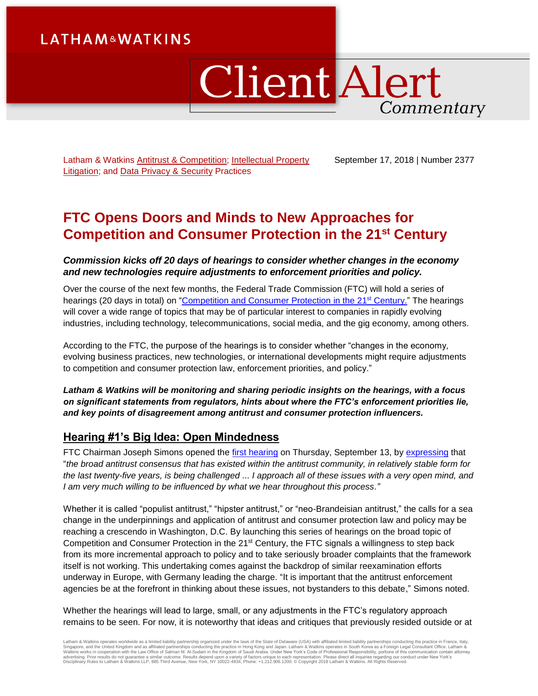# **LATHAM&WATKINS**

# **Client Alert** Commentary

Latham & Watkins [Antitrust & Competition;](https://www.lw.com/practices/AntitrustAndCompetition) Intellectual Property [Litigation;](https://www.lw.com/practices/IntellectualPropertyLitigation) and [Data Privacy &](https://www.lw.com/practices/DataPrivacy-Security) Security Practices

September 17, 2018 | Number 2377

# **FTC Opens Doors and Minds to New Approaches for Competition and Consumer Protection in the 21st Century**

### *Commission kicks off 20 days of hearings to consider whether changes in the economy and new technologies require adjustments to enforcement priorities and policy.*

Over the course of the next few months, the Federal Trade Commission (FTC) will hold a series of hearings (20 days in total) on ["Competition and Consumer Protection](https://www.ftc.gov/policy/hearings-competition-consumer-protection) in the 21<sup>st</sup> Century." The hearings will cover a wide range of topics that may be of particular interest to companies in rapidly evolving industries, including technology, telecommunications, social media, and the gig economy, among others.

According to the FTC, the purpose of the hearings is to consider whether "changes in the economy, evolving business practices, new technologies, or international developments might require adjustments to competition and consumer protection law, enforcement priorities, and policy."

*Latham & Watkins will be monitoring and sharing periodic insights on the hearings, with a focus on significant statements from regulators, hints about where the FTC's enforcement priorities lie, and key points of disagreement among antitrust and consumer protection influencers.* 

## **Hearing #1's Big Idea: Open Mindedness**

FTC Chairman Joseph Simons opened the [first hearing](https://www.ftc.gov/news-events/audio-video/video/competition-consumer-protection-21st-century-welcome-session-1) on Thursday, September 13, by [expressing](https://www.ftc.gov/system/files/documents/public_statements/1409925/opening_remarks_of_joe_simons_hearings1georgetown_sept2018_0.pdf) that "*the broad antitrust consensus that has existed within the antitrust community, in relatively stable form for the last twenty-five years, is being challenged ... I approach all of these issues with a very open mind, and I am very much willing to be influenced by what we hear throughout this process."*

Whether it is called "populist antitrust," "hipster antitrust," or "neo-Brandeisian antitrust," the calls for a sea change in the underpinnings and application of antitrust and consumer protection law and policy may be reaching a crescendo in Washington, D.C. By launching this series of hearings on the broad topic of Competition and Consumer Protection in the  $21<sup>st</sup>$  Century, the FTC signals a willingness to step back from its more incremental approach to policy and to take seriously broader complaints that the framework itself is not working. This undertaking comes against the backdrop of similar reexamination efforts underway in Europe, with Germany leading the charge. "It is important that the antitrust enforcement agencies be at the forefront in thinking about these issues, not bystanders to this debate," Simons noted.

Whether the hearings will lead to large, small, or any adjustments in the FTC's regulatory approach remains to be seen. For now, it is noteworthy that ideas and critiques that previously resided outside or at

Latham & Watkins operates worldwide as a limited liability partnership organized under the laws of the State of Delaware (USA) with affiliated limited liability partnerships conducting the practice in France, Italy,<br>Singap Disciplinary Rules to Latham & Watkins LLP, 885 Third Avenue, New York, NY 10022-4834, Phone: +1.212.906.1200. © Copyright 2018 Latham & Watkins. All Rights Reserved.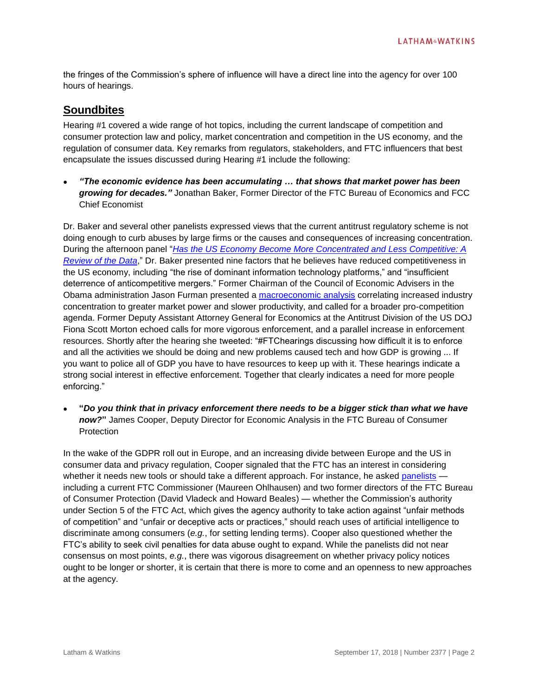the fringes of the Commission's sphere of influence will have a direct line into the agency for over 100 hours of hearings.

## **Soundbites**

Hearing #1 covered a wide range of hot topics, including the current landscape of competition and consumer protection law and policy, market concentration and competition in the US economy, and the regulation of consumer data. Key remarks from regulators, stakeholders, and FTC influencers that best encapsulate the issues discussed during Hearing #1 include the following:

 *"The economic evidence has been accumulating … that shows that market power has been growing for decades."* Jonathan Baker, Former Director of the FTC Bureau of Economics and FCC Chief Economist

Dr. Baker and several other panelists expressed views that the current antitrust regulatory scheme is not doing enough to curb abuses by large firms or the causes and consequences of increasing concentration. During the afternoon panel "*[Has the US Economy Become More Concentrated and Less Competitive: A](https://www.ftc.gov/news-events/audio-video/video/competition-consumer-protection-21st-century-welcome-session-2)  [Review of the Data](https://www.ftc.gov/news-events/audio-video/video/competition-consumer-protection-21st-century-welcome-session-2)*," Dr. Baker presented nine factors that he believes have reduced competitiveness in the US economy, including "the rise of dominant information technology platforms," and "insufficient deterrence of anticompetitive mergers." Former Chairman of the Council of Economic Advisers in the Obama administration Jason Furman presented a [macroeconomic](https://one.oecd.org/document/DAF/COMP/WD(2018)67/en/pdf) analysis correlating increased industry concentration to greater market power and slower productivity, and called for a broader pro-competition agenda. Former Deputy Assistant Attorney General for Economics at the Antitrust Division of the US DOJ Fiona Scott Morton echoed calls for more vigorous enforcement, and a parallel increase in enforcement resources. Shortly after the hearing she tweeted: "#FTChearings discussing how difficult it is to enforce and all the activities we should be doing and new problems caused tech and how GDP is growing ... If you want to police all of GDP you have to have resources to keep up with it. These hearings indicate a strong social interest in effective enforcement. Together that clearly indicates a need for more people enforcing."

 **"***Do you think that in privacy enforcement there needs to be a bigger stick than what we have now?***"** James Cooper, Deputy Director for Economic Analysis in the FTC Bureau of Consumer **Protection** 

In the wake of the GDPR roll out in Europe, and an increasing divide between Europe and the US in consumer data and privacy regulation, Cooper signaled that the FTC has an interest in considering whether it needs new tools or should take a different approach. For instance, he asked [panelists](https://www.ftc.gov/news-events/audio-video/video/competition-consumer-protection-21st-century-welcome-session-3) including a current FTC Commissioner (Maureen Ohlhausen) and two former directors of the FTC Bureau of Consumer Protection (David Vladeck and Howard Beales) — whether the Commission's authority under Section 5 of the FTC Act, which gives the agency authority to take action against "unfair methods of competition" and "unfair or deceptive acts or practices," should reach uses of artificial intelligence to discriminate among consumers (*e.g.*, for setting lending terms). Cooper also questioned whether the FTC's ability to seek civil penalties for data abuse ought to expand. While the panelists did not near consensus on most points, *e.g.*, there was vigorous disagreement on whether privacy policy notices ought to be longer or shorter, it is certain that there is more to come and an openness to new approaches at the agency.